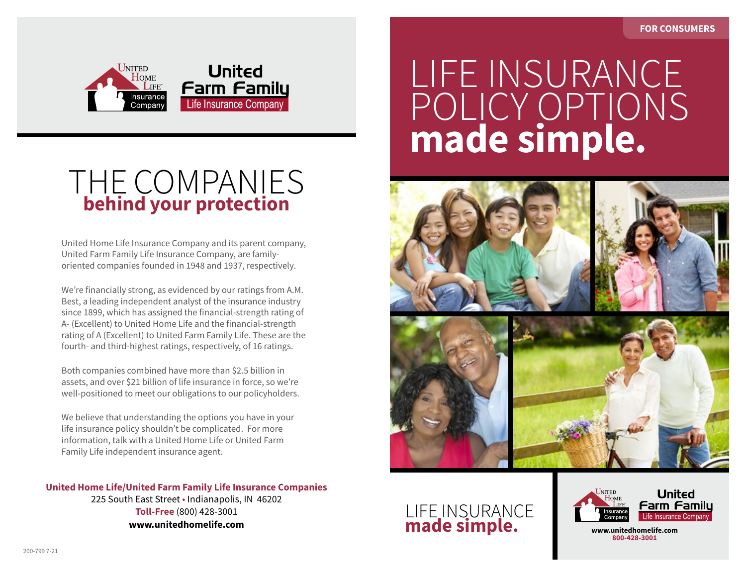

## THE COMPANIES **behind your protection**

United Home Life Insurance Company and its parent company, United Farm Family Life Insurance Company, are familyoriented companies founded in 1948 and 1937, respectively.

We're financially strong, as evidenced by our ratings from A.M. Best, a leading independent analyst of the insurance industry since 1899, which has assigned the financial-strength rating of A- (Excellent) to United Home Life and the financial-strength rating of A (Excellent) to United Farm Family Life. These are the fourth- and third-highest ratings, respectively, of 16 ratings.

Both companies combined have more than \$2.5 billion in assets, and over \$21 billion of life insurance in force, so we're well-positioned to meet our obligations to our policyholders.

We believe that understanding the options you have in your life insurance policy shouldn't be complicated. For more information, talk with a United Home Life or United Farm Family Life independent insurance agent.

**United Home Life/United Farm Family Life Insurance Companies** 225 South East Street • Indianapolis, IN 46202 **Toll-Free** (800) 428-3001 **www.unitedhomelife.com**

## *Life Insurance Policy Options Made Simple* LIFE INSURANCE POLICY OPTIONS **made simple.**



## LIFE INSURANCE **made simple.**



**www.unitedhomelife.com 800-428-3001**